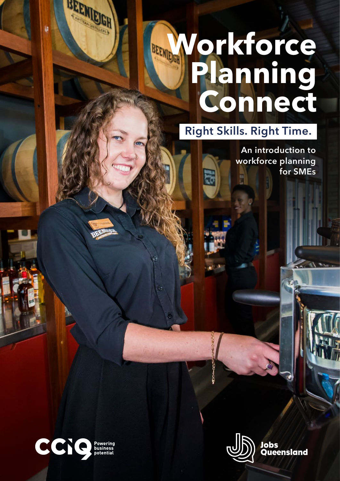# **Workforce Planning Connect**

Right Skills. Right Time.

 $\overline{\mathbf{R}}$ 





BEEMEIGH



Jobs Queensland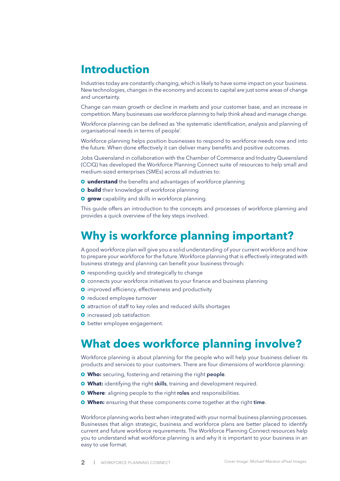## **Introduction**

Industries today are constantly changing, which is likely to have some impact on your business. New technologies, changes in the economy and access to capital are just some areas of change and uncertainty.

Change can mean growth or decline in markets and your customer base, and an increase in competition. Many businesses use workforce planning to help think ahead and manage change.

Workforce planning can be defined as 'the systematic identification, analysis and planning of organisational needs in terms of people'.

Workforce planning helps position businesses to respond to workforce needs now and into the future. When done effectively it can deliver many benefits and positive outcomes.

Jobs Queensland in collaboration with the Chamber of Commerce and Industry Queensland (CCIQ) has developed the Workforce Planning Connect suite of resources to help small and medium-sized enterprises (SMEs) across all industries to:

- **O** understand the benefits and advantages of workforce planning
- **o** build their knowledge of workforce planning
- **Q grow** capability and skills in workforce planning.

This guide offers an introduction to the concepts and processes of workforce planning and provides a quick overview of the key steps involved.

### **Why is workforce planning important?**

A good workforce plan will give you a solid understanding of your current workforce and how to prepare your workforce for the future. Workforce planning that is effectively integrated with business strategy and planning can benefit your business through:

- **O** responding quickly and strategically to change
- **O** connects your workforce initiatives to your finance and business planning
- **O** improved efficiency, effectiveness and productivity
- **O** reduced employee turnover
- **O** attraction of staff to key roles and reduced skills shortages
- **O** increased job satisfaction
- **O** better employee engagement.

## **What does workforce planning involve?**

Workforce planning is about planning for the people who will help your business deliver its products and services to your customers. There are four dimensions of workforce planning:

- **Who:** securing, fostering and retaining the right people.
- **What:** identifying the right skills, training and development required.
- **Where**: aligning people to the right roles and responsibilities.
- **When:** ensuring that these components come together at the right time.

Workforce planning works best when integrated with your normal business planning processes. Businesses that align strategic, business and workforce plans are better placed to identify current and future workforce requirements. The Workforce Planning Connect resources help you to understand what workforce planning is and why it is important to your business in an easy to use format.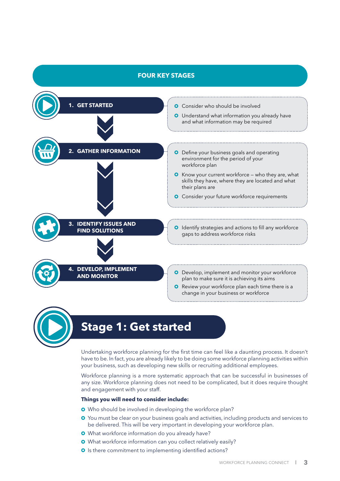### **FOUR KEY STAGES**



Undertaking workforce planning for the first time can feel like a daunting process. It doesn't have to be. In fact, you are already likely to be doing some workforce planning activities within your business, such as developing new skills or recruiting additional employees.

Workforce planning is a more systematic approach that can be successful in businesses of any size. Workforce planning does not need to be complicated, but it does require thought and engagement with your staff.

#### **Things you will need to consider include:**

**O** Who should be involved in developing the workforce plan?

- **O** You must be clear on your business goals and activities, including products and services to be delivered. This will be very important in developing your workforce plan.
- What workforce information do you already have?
- What workforce information can you collect relatively easily?
- **O** Is there commitment to implementing identified actions?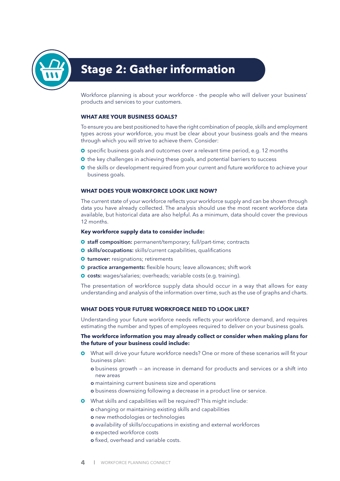

# **Stage 2: Gather information**

Workforce planning is about your workforce - the people who will deliver your business' products and services to your customers.

### **WHAT ARE YOUR BUSINESS GOALS?**

To ensure you are best positioned to have the right combination of people, skills and employment types across your workforce, you must be clear about your business goals and the means through which you will strive to achieve them. Consider:

- **O** specific business goals and outcomes over a relevant time period, e.g. 12 months
- **O** the key challenges in achieving these goals, and potential barriers to success
- **O** the skills or development required from your current and future workforce to achieve your business goals.

### **WHAT DOES YOUR WORKFORCE LOOK LIKE NOW?**

The current state of your workforce reflects your workforce supply and can be shown through data you have already collected. The analysis should use the most recent workforce data available, but historical data are also helpful. As a minimum, data should cover the previous 12 months.

#### **Key workforce supply data to consider include:**

- **O** staff composition: permanent/temporary; full/part-time; contracts
- **O** skills/occupations: skills/current capabilities, qualifications
- **O turnover:** resignations; retirements
- **O** practice arrangements: flexible hours; leave allowances; shift work
- **O** costs: wages/salaries; overheads; variable costs (e.g. training).

The presentation of workforce supply data should occur in a way that allows for easy understanding and analysis of the information over time, such as the use of graphs and charts.

### **WHAT DOES YOUR FUTURE WORKFORCE NEED TO LOOK LIKE?**

Understanding your future workforce needs reflects your workforce demand, and requires estimating the number and types of employees required to deliver on your business goals.

### **The workforce information you may already collect or consider when making plans for the future of your business could include:**

- What will drive your future workforce needs? One or more of these scenarios will fit your business plan:
	- o business growth an increase in demand for products and services or a shift into new areas
	- o maintaining current business size and operations
	- o business downsizing following a decrease in a product line or service.
- What skills and capabilities will be required? This might include:
	- o changing or maintaining existing skills and capabilities
		- o new methodologies or technologies
		- o availability of skills/occupations in existing and external workforces
		- o expected workforce costs
	- o fixed, overhead and variable costs.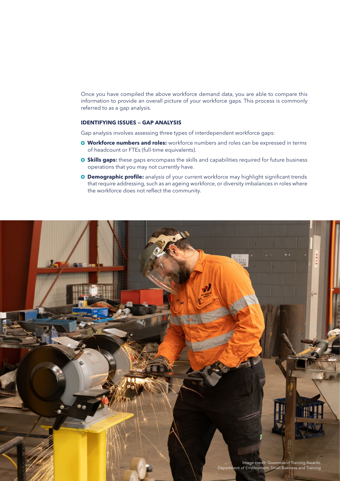Once you have compiled the above workforce demand data, you are able to compare this information to provide an overall picture of your workforce gaps. This process is commonly referred to as a gap analysis.

### **IDENTIFYING ISSUES — GAP ANALYSIS**

Gap analysis involves assessing three types of interdependent workforce gaps:

- **Workforce numbers and roles:** workforce numbers and roles can be expressed in terms of headcount or FTEs (full-time equivalents).
- **O** Skills gaps: these gaps encompass the skills and capabilities required for future business operations that you may not currently have.
- **O Demographic profile:** analysis of your current workforce may highlight significant trends that require addressing, such as an ageing workforce, or diversity imbalances in roles where the workforce does not reflect the community.

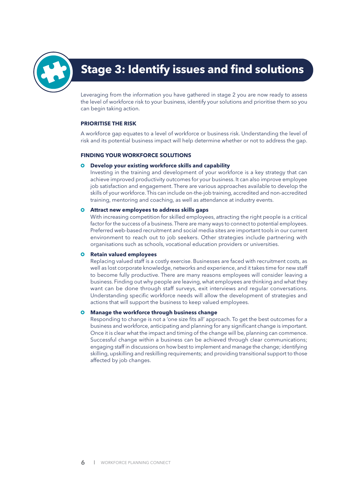

# **Stage 3: Identify issues and find solutions**

Leveraging from the information you have gathered in stage 2 you are now ready to assess the level of workforce risk to your business, identify your solutions and prioritise them so you can begin taking action.

### **PRIORITISE THE RISK**

A workforce gap equates to a level of workforce or business risk. Understanding the level of risk and its potential business impact will help determine whether or not to address the gap.

### **FINDING YOUR WORKFORCE SOLUTIONS**

### **Develop your existing workforce skills and capability**

 Investing in the training and development of your workforce is a key strategy that can achieve improved productivity outcomes for your business. It can also improve employee job satisfaction and engagement. There are various approaches available to develop the skills of your workforce. This can include on-the-job training, accredited and non-accredited training, mentoring and coaching, as well as attendance at industry events.

### **Attract new employees to address skills gaps**

 With increasing competition for skilled employees, attracting the right people is a critical factor for the success of a business. There are many ways to connect to potential employees. Preferred web-based recruitment and social media sites are important tools in our current environment to reach out to job seekers. Other strategies include partnering with organisations such as schools, vocational education providers or universities.

### **Q** Retain valued employees

 Replacing valued staff is a costly exercise. Businesses are faced with recruitment costs, as well as lost corporate knowledge, networks and experience, and it takes time for new staff to become fully productive. There are many reasons employees will consider leaving a business. Finding out why people are leaving, what employees are thinking and what they want can be done through staff surveys, exit interviews and regular conversations. Understanding specific workforce needs will allow the development of strategies and actions that will support the business to keep valued employees.

### **Manage the workforce through business change**

 Responding to change is not a 'one size fits all' approach. To get the best outcomes for a business and workforce, anticipating and planning for any significant change is important. Once it is clear what the impact and timing of the change will be, planning can commence. Successful change within a business can be achieved through clear communications; engaging staff in discussions on how best to implement and manage the change; identifying skilling, upskilling and reskilling requirements; and providing transitional support to those affected by job changes.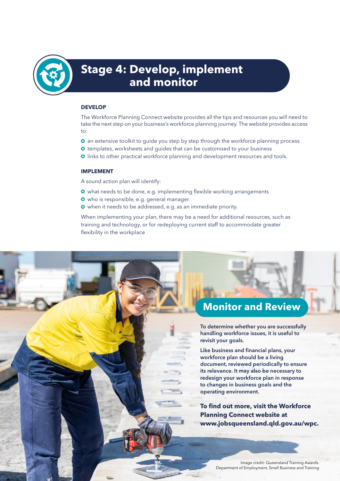

# **Stage 4: Develop, implement and monitor**

### **DEVELOP**

The Workforce Planning Connect website provides all the tips and resources you will need to take the next step on your business's workforce planning journey. The website provides access to:

- **O** an extensive toolkit to guide you step by step through the workforce planning process
- **O** templates, worksheets and quides that can be customised to your business
- **O** links to other practical workforce planning and development resources and tools.

### **IMPLEMENT**

A sound action plan will identify:

- **O** what needs to be done, e.g. implementing flexible working arrangements
- who is responsible, e.g. general manager
- when it needs to be addressed, e.g. as an immediate priority.

When implementing your plan, there may be a need for additional resources, such as training and technology, or for redeploying current staff to accommodate greater flexibility in the workplace

### **Monitor and Review**

To determine whether you are successfully handling workforce issues, it is useful to revisit your goals.

Like business and financial plans, your workforce plan should be a living document, reviewed periodically to ensure its relevance. It may also be necessary to redesign your workforce plan in response to changes in business goals and the operating environment.

**To find out more, visit the Workforce Planning Connect website at www.jobsqueensland.qld.gov.au/wpc.**

**MORE PLANNING CONNECT | JOBS QUEENSLAND | JOBS QUEENSLAND IMAGES.** Department of Employment, Small Business and Training